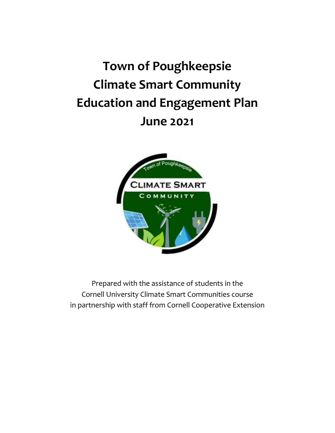# **Town of Poughkeepsie Climate Smart Community Education and Engagement Plan June 2021**



Prepared with the assistance of students in the Cornell University Climate Smart Communities course in partnership with staff from Cornell Cooperative Extension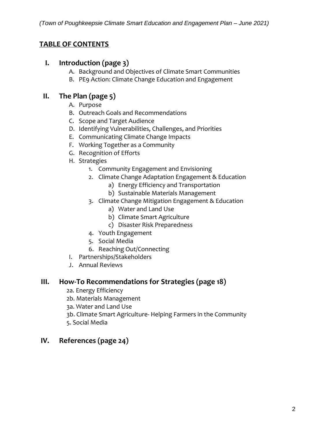## **TABLE OF CONTENTS**

#### **I. Introduction (page 3)**

- A. Background and Objectives of Climate Smart Communities
- B. PE9 Action: Climate Change Education and Engagement

## **II. The Plan (page 5)**

- A. Purpose
- B. Outreach Goals and Recommendations
- C. Scope and Target Audience
- D. Identifying Vulnerabilities, Challenges, and Priorities
- E. Communicating Climate Change Impacts
- F. Working Together as a Community
- G. Recognition of Efforts
- H. Strategies
	- 1. Community Engagement and Envisioning
	- 2. Climate Change Adaptation Engagement & Education
		- a) Energy Efficiency and Transportation
		- b) Sustainable Materials Management
	- 3. Climate Change Mitigation Engagement & Education
		- a) Water and Land Use
		- b) Climate Smart Agriculture
		- c) Disaster Risk Preparedness
	- 4. Youth Engagement
	- 5. Social Media
	- 6. Reaching Out/Connecting
- I. Partnerships/Stakeholders
- J. Annual Reviews

#### **III. How-To Recommendations for Strategies (page 18)**

- 2a. Energy Efficiency
- 2b. Materials Management
- 3a. Water and Land Use
- 3b. Climate Smart Agriculture- Helping Farmers in the Community
- 5. Social Media

# **IV. References (page 24)**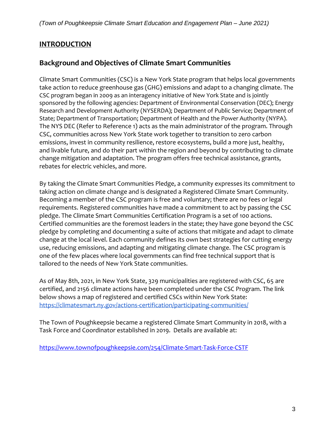## **INTRODUCTION**

# **Background and Objectives of Climate Smart Communities**

Climate Smart Communities (CSC) is a New York State program that helps local governments take action to reduce greenhouse gas (GHG) emissions and adapt to a changing climate. The CSC program began in 2009 as an interagency initiative of New York State and is jointly sponsored by the following agencies: Department of Environmental Conservation (DEC); Energy Research and Development Authority (NYSERDA); Department of Public Service; Department of State; Department of Transportation; Department of Health and the Power Authority (NYPA). The NYS DEC (Refer to Reference 1) acts as the main administrator of the program. Through CSC, communities across New York State work together to transition to zero carbon emissions, invest in community resilience, restore ecosystems, build a more just, healthy, and livable future, and do their part within the region and beyond by contributing to climate change mitigation and adaptation. The program offers free technical assistance, grants, rebates for electric vehicles, and more.

By taking the Climate Smart Communities Pledge, a community expresses its commitment to taking action on climate change and is designated a Registered Climate Smart Community. Becoming a member of the CSC program is free and voluntary; there are no fees or legal requirements. Registered communities have made a commitment to act by passing the CSC pledge. The Climate Smart Communities Certification Program is a set of 100 actions. Certified communities are the foremost leaders in the state; they have gone beyond the CSC pledge by completing and documenting a suite of actions that mitigate and adapt to climate change at the local level. Each community defines its own best strategies for cutting energy use, reducing emissions, and adapting and mitigating climate change. The CSC program is one of the few places where local governments can find free technical support that is tailored to the needs of New York State communities.

As of May 8th, 2021, in New York State, 329 municipalities are registered with CSC, 65 are certified, and 2156 climate actions have been completed under the CSC Program. The link below shows a map of registered and certified CSCs within New York State: <https://climatesmart.ny.gov/actions-certification/participating-communities/>

The Town of Poughkeepsie became a registered Climate Smart Community in 2018, with a Task Force and Coordinator established in 2019. Details are available at:

<https://www.townofpoughkeepsie.com/254/Climate-Smart-Task-Force-CSTF>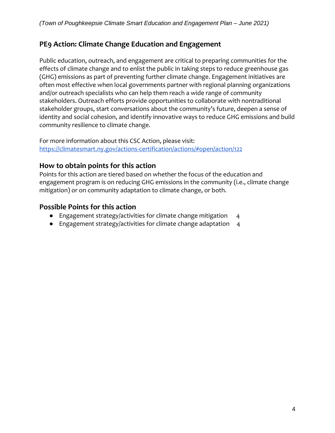# **PE9 Action: Climate Change Education and Engagement**

Public education, outreach, and engagement are critical to preparing communities for the effects of climate change and to enlist the public in taking steps to reduce greenhouse gas (GHG) emissions as part of preventing further climate change. Engagement initiatives are often most effective when local governments partner with regional planning organizations and/or outreach specialists who can help them reach a wide range of community stakeholders. Outreach efforts provide opportunities to collaborate with nontraditional stakeholder groups, start conversations about the community's future, deepen a sense of identity and social cohesion, and identify innovative ways to reduce GHG emissions and build community resilience to climate change.

For more information about this CSC Action, please visit: <https://climatesmart.ny.gov/actions-certification/actions/#open/action/122>

### **How to obtain points for this action**

Points for this action are tiered based on whether the focus of the education and engagement program is on reducing GHG emissions in the community (i.e., climate change mitigation) or on community adaptation to climate change, or both.

#### **Possible Points for this action**

- Engagement strategy/activities for climate change mitigation 4
- Engagement strategy/activities for climate change adaptation 4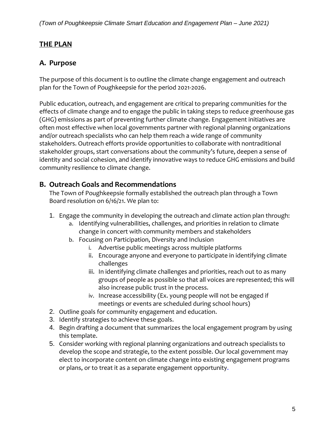# **THE PLAN**

## **A. Purpose**

The purpose of this document is to outline the climate change engagement and outreach plan for the Town of Poughkeepsie for the period 2021-2026.

Public education, outreach, and engagement are critical to preparing communities for the effects of climate change and to engage the public in taking steps to reduce greenhouse gas (GHG) emissions as part of preventing further climate change. Engagement initiatives are often most effective when local governments partner with regional planning organizations and/or outreach specialists who can help them reach a wide range of community stakeholders. Outreach efforts provide opportunities to collaborate with nontraditional stakeholder groups, start conversations about the community's future, deepen a sense of identity and social cohesion, and identify innovative ways to reduce GHG emissions and build community resilience to climate change.

## **B. Outreach Goals and Recommendations**

The Town of Poughkeepsie formally established the outreach plan through a Town Board resolution on 6/16/21. We plan to:

- 1. Engage the community in developing the outreach and climate action plan through:
	- a. Identifying vulnerabilities, challenges, and priorities in relation to climate change in concert with community members and stakeholders
	- b. Focusing on Participation, Diversity and Inclusion
		- i. Advertise public meetings across multiple platforms
		- ii. Encourage anyone and everyone to participate in identifying climate challenges
		- iii. In identifying climate challenges and priorities, reach out to as many groups of people as possible so that all voices are represented; this will also increase public trust in the process.
		- iv. Increase accessibility (Ex. young people will not be engaged if meetings or events are scheduled during school hours)
- 2. Outline goals for community engagement and education.
- 3. Identify strategies to achieve these goals.
- 4. Begin drafting a document that summarizes the local engagement program by using this template.
- 5. Consider working with regional planning organizations and outreach specialists to develop the scope and strategie, to the extent possible. Our local government may elect to incorporate content on climate change into existing engagement programs or plans, or to treat it as a separate engagement opportunity.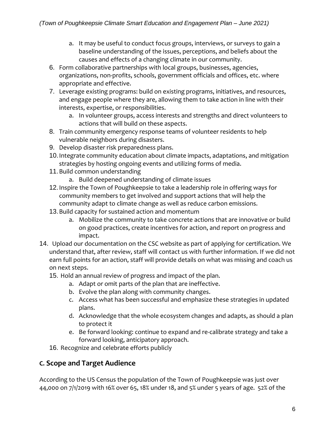- a. It may be useful to conduct focus groups, interviews, or surveys to gain a baseline understanding of the issues, perceptions, and beliefs about the causes and effects of a changing climate in our community.
- 6. Form collaborative partnerships with local groups, businesses, agencies, organizations, non-profits, schools, government officials and offices, etc. where appropriate and effective.
- 7. Leverage existing programs: build on existing programs, initiatives, and resources, and engage people where they are, allowing them to take action in line with their interests, expertise, or responsibilities.
	- a. In volunteer groups, access interests and strengths and direct volunteers to actions that will build on these aspects.
- 8. Train community emergency response teams of volunteer residents to help vulnerable neighbors during disasters.
- 9. Develop disaster risk preparedness plans.
- 10.Integrate community education about climate impacts, adaptations, and mitigation strategies by hosting ongoing events and utilizing forms of media.
- 11.Build common understanding
	- a. Build deepened understanding of climate issues
- 12.Inspire the Town of Poughkeepsie to take a leadership role in offering ways for community members to get involved and support actions that will help the community adapt to climate change as well as reduce carbon emissions.
- 13.Build capacity for sustained action and momentum
	- a. Mobilize the community to take concrete actions that are innovative or build on good practices, create incentives for action, and report on progress and impact.
- 14. Upload our documentation on the CSC website as part of applying for certification. We understand that, after review, staff will contact us with further information. If we did not earn full points for an action, staff will provide details on what was missing and coach us on next steps.
	- 15. Hold an annual review of progress and impact of the plan.
		- a. Adapt or omit parts of the plan that are ineffective.
		- b. Evolve the plan along with community changes.
		- c. Access what has been successful and emphasize these strategies in updated plans.
		- d. Acknowledge that the whole ecosystem changes and adapts, as should a plan to protect it
		- e. Be forward looking: continue to expand and re-calibrate strategy and take a forward looking, anticipatory approach.
	- 16. Recognize and celebrate efforts publicly

# **C. Scope and Target Audience**

According to the US Census the population of the Town of Poughkeepsie was just over 44,000 on 7/1/2019 with 16% over 65, 18% under 18, and 5% under 5 years of age. 52% of the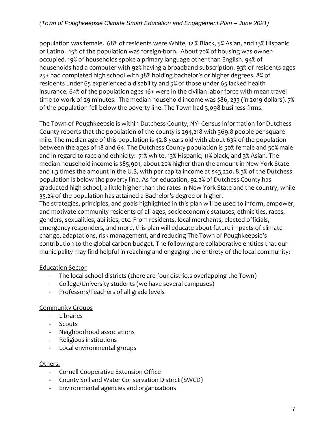population was female. 68% of residents were White, 12 % Black, 5% Asian, and 13% Hispanic or Latino. 15% of the population was foreign-born. About 70% of housing was owneroccupied. 19% of households spoke a primary language other than English. 94% of households had a computer with 92% having a broadband subscription. 93% of residents ages 25+ had completed high school with 38% holding bachelor's or higher degrees. 8% of residents under 65 experienced a disability and 5% of those under 65 lacked health insurance. 64% of the population ages 16+ were in the civilian labor force with mean travel time to work of 29 minutes. The median household income was \$86, 233 (in 2019 dollars). 7% of the population fell below the poverty line. The Town had 3,098 business firms.

The Town of Poughkeepsie is within Dutchess County, NY- Census information for Dutchess County reports that the population of the county is 294,218 with 369.8 people per square mile. The median age of this population is 42.8 years old with about 63% of the population between the ages of 18 and 64. The Dutchess County population is 50% female and 50% male and in regard to race and ethnicity: 71% white, 13% Hispanic, 11% black, and 3% Asian. The median household income is \$85,901, about 20% higher than the amount in New York State and 1.3 times the amount in the U.S, with per capita income at \$43,220. 8.3% of the Dutchess population is below the poverty line. As for education, 92.2% of Dutchess County has graduated high school, a little higher than the rates in New York State and the country, while 35.2% of the population has attained a Bachelor's degree or higher.

The strategies, principles, and goals highlighted in this plan will be used to inform, empower, and motivate community residents of all ages, socioeconomic statuses, ethnicities, races, genders, sexualities, abilities, etc. From residents, local merchants, elected officials, emergency responders, and more, this plan will educate about future impacts of climate change, adaptations, risk management, and reducing The Town of Poughkeepsie's contribution to the global carbon budget. The following are collaborative entities that our municipality may find helpful in reaching and engaging the entirety of the local community:

### Education Sector

- The local school districts (there are four districts overlapping the Town)
- College/University students (we have several campuses)
- Professors/Teachers of all grade levels

### Community Groups

- Libraries
- Scouts
- Neighborhood associations
- Religious institutions
- Local environmental groups

#### Others:

- Cornell Cooperative Extension Office
- County Soil and Water Conservation District (SWCD)
- Environmental agencies and organizations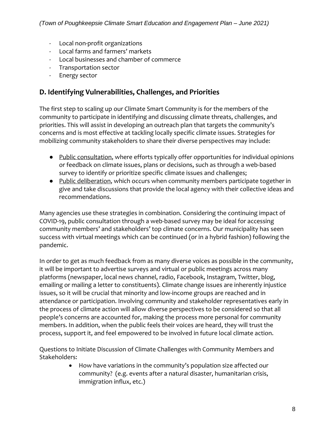- Local non-profit organizations
- Local farms and farmers' markets
- Local businesses and chamber of commerce
- Transportation sector
- Energy sector

## **D. Identifying Vulnerabilities, Challenges, and Priorities**

The first step to scaling up our Climate Smart Community is for the members of the community to participate in identifying and discussing climate threats, challenges, and priorities. This will assist in developing an outreach plan that targets the community's concerns and is most effective at tackling locally specific climate issues. Strategies for mobilizing community stakeholders to share their diverse perspectives may include:

- Public consultation, where efforts typically offer opportunities for individual opinions or feedback on climate issues, plans or decisions, such as through a web-based survey to identify or prioritize specific climate issues and challenges;
- Public deliberation, which occurs when community members participate together in give and take discussions that provide the local agency with their collective ideas and recommendations.

Many agencies use these strategies in combination. Considering the continuing impact of COVID-19, public consultation through a web-based survey may be ideal for accessing community members' and stakeholders' top climate concerns. Our municipality has seen success with virtual meetings which can be continued (or in a hybrid fashion) following the pandemic.

In order to get as much feedback from as many diverse voices as possible in the community, it will be important to advertise surveys and virtual or public meetings across many platforms (newspaper, local news channel, radio, Facebook, Instagram, Twitter, blog, emailing or mailing a letter to constituents). Climate change issues are inherently injustice issues, so it will be crucial that minority and low-income groups are reached and in attendance or participation. Involving community and stakeholder representatives early in the process of climate action will allow diverse perspectives to be considered so that all people's concerns are accounted for, making the process more personal for community members. In addition, when the public feels their voices are heard, they will trust the process, support it, and feel empowered to be involved in future local climate action.

Questions to Initiate Discussion of Climate Challenges with Community Members and Stakeholders:

> • How have variations in the community's population size affected our community? (e.g. events after a natural disaster, humanitarian crisis, immigration influx, etc.)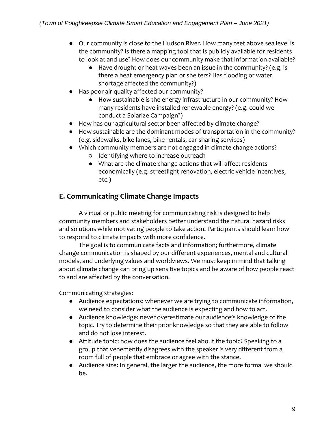- Our community is close to the Hudson River. How many feet above sea level is the community? Is there a mapping tool that is publicly available for residents to look at and use? How does our community make that information available?
	- Have drought or heat waves been an issue in the community? (e.g. is there a heat emergency plan or shelters? Has flooding or water shortage affected the community?)
- Has poor air quality affected our community?
	- How sustainable is the energy infrastructure in our community? How many residents have installed renewable energy? (e.g. could we conduct a Solarize Campaign?)
- How has our agricultural sector been affected by climate change?
- How sustainable are the dominant modes of transportation in the community? (e.g. sidewalks, bike lanes, bike rentals, car-sharing services)
- Which community members are not engaged in climate change actions?
	- Identifying where to increase outreach
	- What are the climate change actions that will affect residents economically (e.g. streetlight renovation, electric vehicle incentives, etc.)

# **E. Communicating Climate Change Impacts**

A virtual or public meeting for communicating risk is designed to help community members and stakeholders better understand the natural hazard risks and solutions while motivating people to take action. Participants should learn how to respond to climate impacts with more confidence.

The goal is to communicate facts and information; furthermore, climate change communication is shaped by our different experiences, mental and cultural models, and underlying values and worldviews. We must keep in mind that talking about climate change can bring up sensitive topics and be aware of how people react to and are affected by the conversation.

Communicating strategies:

- Audience expectations: whenever we are trying to communicate information, we need to consider what the audience is expecting and how to act.
- Audience knowledge: never overestimate our audience's knowledge of the topic. Try to determine their prior knowledge so that they are able to follow and do not lose interest.
- Attitude topic: how does the audience feel about the topic? Speaking to a group that vehemently disagrees with the speaker is very different from a room full of people that embrace or agree with the stance.
- Audience size: In general, the larger the audience, the more formal we should be.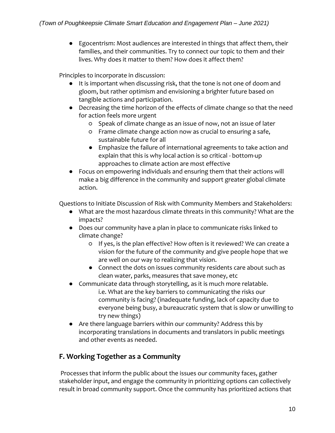● Egocentrism: Most audiences are interested in things that affect them, their families, and their communities. Try to connect our topic to them and their lives. Why does it matter to them? How does it affect them?

Principles to incorporate in discussion:

- It is important when discussing risk, that the tone is not one of doom and gloom, but rather optimism and envisioning a brighter future based on tangible actions and participation.
- Decreasing the time horizon of the effects of climate change so that the need for action feels more urgent
	- Speak of climate change as an issue of now, not an issue of later
	- Frame climate change action now as crucial to ensuring a safe, sustainable future for all
	- Emphasize the failure of international agreements to take action and explain that this is why local action is so critical - bottom-up approaches to climate action are most effective
- Focus on empowering individuals and ensuring them that their actions will make a big difference in the community and support greater global climate action.

Questions to Initiate Discussion of Risk with Community Members and Stakeholders:

- What are the most hazardous climate threats in this community? What are the impacts?
- Does our community have a plan in place to communicate risks linked to climate change?
	- If yes, is the plan effective? How often is it reviewed? We can create a vision for the future of the community and give people hope that we are well on our way to realizing that vision.
	- Connect the dots on issues community residents care about such as clean water, parks, measures that save money, etc
- Communicate data through storytelling, as it is much more relatable. i.e. What are the key barriers to communicating the risks our community is facing? (inadequate funding, lack of capacity due to everyone being busy, a bureaucratic system that is slow or unwilling to try new things)
- Are there language barriers within our community? Address this by incorporating translations in documents and translators in public meetings and other events as needed.

# **F. Working Together as a Community**

Processes that inform the public about the issues our community faces, gather stakeholder input, and engage the community in prioritizing options can collectively result in broad community support. Once the community has prioritized actions that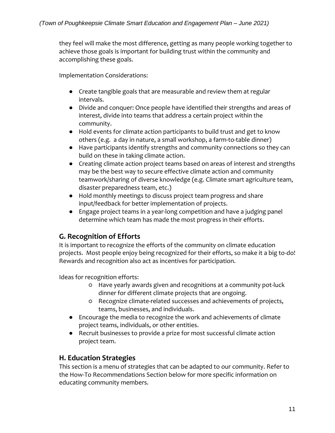they feel will make the most difference, getting as many people working together to achieve those goals is important for building trust within the community and accomplishing these goals.

Implementation Considerations:

- Create tangible goals that are measurable and review them at regular intervals.
- Divide and conquer: Once people have identified their strengths and areas of interest, divide into teams that address a certain project within the community.
- Hold events for climate action participants to build trust and get to know others (e.g. a day in nature, a small workshop, a farm-to-table dinner)
- Have participants identify strengths and community connections so they can build on these in taking climate action.
- Creating climate action project teams based on areas of interest and strengths may be the best way to secure effective climate action and community teamwork/sharing of diverse knowledge (e.g. Climate smart agriculture team, disaster preparedness team, etc.)
- Hold monthly meetings to discuss project team progress and share input/feedback for better implementation of projects.
- Engage project teams in a year-long competition and have a judging panel determine which team has made the most progress in their efforts.

## **G. Recognition of Efforts**

It is important to recognize the efforts of the community on climate education projects. Most people enjoy being recognized for their efforts, so make it a big to-do! Rewards and recognition also act as incentives for participation.

Ideas for recognition efforts:

- Have yearly awards given and recognitions at a community pot-luck dinner for different climate projects that are ongoing.
- Recognize climate-related successes and achievements of projects, teams, businesses, and individuals.
- Encourage the media to recognize the work and achievements of climate project teams, individuals, or other entities.
- Recruit businesses to provide a prize for most successful climate action project team.

## **H. Education Strategies**

This section is a menu of strategies that can be adapted to our community. Refer to the How-To Recommendations Section below for more specific information on educating community members.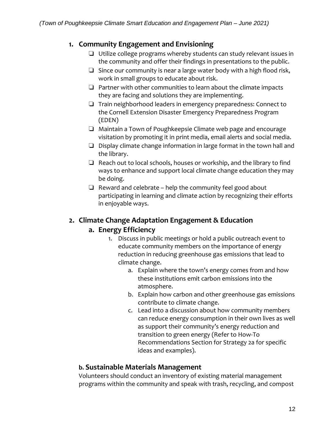## **1. Community Engagement and Envisioning**

- ❏ Utilize college programs whereby students can study relevant issues in the community and offer their findings in presentations to the public.
- ❏ Since our community is near a large water body with a high flood risk, work in small groups to educate about risk.
- ❏ Partner with other communities to learn about the climate impacts they are facing and solutions they are implementing.
- ❏ Train neighborhood leaders in emergency preparedness: Connect to the Cornell Extension Disaster Emergency Preparedness Program (EDEN)
- ❏ Maintain a Town of Poughkeepsie Climate web page and encourage visitation by promoting it in print media, email alerts and social media.
- ❏ Display climate change information in large format in the town hall and the library.
- ❏ Reach out to local schools, houses or workship, and the library to find ways to enhance and support local climate change education they may be doing.
- $\Box$  Reward and celebrate help the community feel good about participating in learning and climate action by recognizing their efforts in enjoyable ways.

## **2. Climate Change Adaptation Engagement & Education**

### **a. Energy Efficiency**

- 1. Discuss in public meetings or hold a public outreach event to educate community members on the importance of energy reduction in reducing greenhouse gas emissions that lead to climate change.
	- a. Explain where the town's energy comes from and how these institutions emit carbon emissions into the atmosphere.
	- b. Explain how carbon and other greenhouse gas emissions contribute to climate change.
	- c. Lead into a discussion about how community members can reduce energy consumption in their own lives as well as support their community's energy reduction and transition to green energy (Refer to How-To Recommendations Section for Strategy 2a for specific ideas and examples).

### **b. Sustainable Materials Management**

Volunteers should conduct an inventory of existing material management programs within the community and speak with trash, recycling, and compost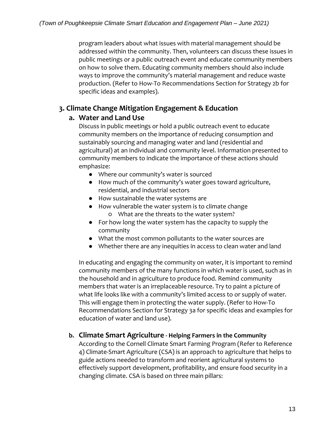program leaders about what issues with material management should be addressed within the community. Then, volunteers can discuss these issues in public meetings or a public outreach event and educate community members on how to solve them. Educating community members should also include ways to improve the community's material management and reduce waste production. (Refer to How-To Recommendations Section for Strategy 2b for specific ideas and examples).

## **3. Climate Change Mitigation Engagement & Education**

## **a. Water and Land Use**

Discuss in public meetings or hold a public outreach event to educate community members on the importance of reducing consumption and sustainably sourcing and managing water and land (residential and agricultural) at an individual and community level. Information presented to community members to indicate the importance of these actions should emphasize:

- Where our community's water is sourced
- How much of the community's water goes toward agriculture, residential, and industrial sectors
- How sustainable the water systems are
- How vulnerable the water system is to climate change ○ What are the threats to the water system?
- For how long the water system has the capacity to supply the community
- What the most common pollutants to the water sources are
- Whether there are any inequities in access to clean water and land

In educating and engaging the community on water, it is important to remind community members of the many functions in which water is used, such as in the household and in agriculture to produce food. Remind community members that water is an irreplaceable resource. Try to paint a picture of what life looks like with a community's limited access to or supply of water. This will engage them in protecting the water supply. (Refer to How-To Recommendations Section for Strategy 3a for specific ideas and examples for education of water and land use).

### **b. Climate Smart Agriculture - Helping Farmers in the Community**

According to the Cornell Climate Smart Farming Program (Refer to Reference 4) Climate-Smart Agriculture (CSA) is an approach to agriculture that helps to guide actions needed to transform and reorient agricultural systems to effectively support development, profitability, and ensure food security in a changing climate. CSA is based on three main pillars: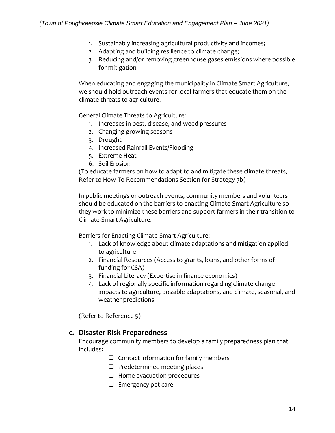- 1. Sustainably increasing agricultural productivity and incomes;
- 2. Adapting and building resilience to climate change;
- 3. Reducing and/or removing greenhouse gases emissions where possible for mitigation

When educating and engaging the municipality in Climate Smart Agriculture, we should hold outreach events for local farmers that educate them on the climate threats to agriculture.

General Climate Threats to Agriculture:

- 1. Increases in pest, disease, and weed pressures
- 2. Changing growing seasons
- 3. Drought
- 4. Increased Rainfall Events/Flooding
- 5. Extreme Heat
- 6. Soil Erosion

(To educate farmers on how to adapt to and mitigate these climate threats, Refer to How-To Recommendations Section for Strategy 3b)

In public meetings or outreach events, community members and volunteers should be educated on the barriers to enacting Climate-Smart Agriculture so they work to minimize these barriers and support farmers in their transition to Climate-Smart Agriculture.

Barriers for Enacting Climate-Smart Agriculture:

- 1. Lack of knowledge about climate adaptations and mitigation applied to agriculture
- 2. Financial Resources (Access to grants, loans, and other forms of funding for CSA)
- 3. Financial Literacy (Expertise in finance economics)
- 4. Lack of regionally specific information regarding climate change impacts to agriculture, possible adaptations, and climate, seasonal, and weather predictions

(Refer to Reference 5)

#### **c. Disaster Risk Preparedness**

Encourage community members to develop a family preparedness plan that includes:

- ❏ Contact information for family members
- ❏ Predetermined meeting places
- ❏ Home evacuation procedures
- ❏ Emergency pet care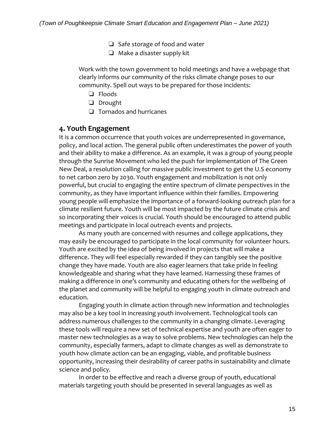- ❏ Safe storage of food and water
- ❏ Make a disaster supply kit

Work with the town government to hold meetings and have a webpage that clearly informs our community of the risks climate change poses to our community. Spell out ways to be prepared for those incidents:

- ❏ Floods
- ❏ Drought
- ❏ Tornados and hurricanes

#### **4. Youth Engagement**

It is a common occurrence that youth voices are underrepresented in governance, policy, and local action. The general public often underestimates the power of youth and their ability to make a difference. As an example, it was a group of young people through the Sunrise Movement who led the push for implementation of The Green New Deal, a resolution calling for massive public investment to get the U.S economy to net carbon zero by 2030. Youth engagement and mobilization is not only powerful, but crucial to engaging the entire spectrum of climate perspectives in the community, as they have important influence within their families. Empowering young people will emphasize the importance of a forward-looking outreach plan for a climate resilient future. Youth will be most impacted by the future climate crisis and so incorporating their voices is crucial. Youth should be encouraged to attend public meetings and participate in local outreach events and projects.

As many youth are concerned with resumes and college applications, they may easily be encouraged to participate in the local community for volunteer hours. Youth are excited by the idea of being involved in projects that will make a difference. They will feel especially rewarded if they can tangibly see the positive change they have made. Youth are also eager learners that take pride in feeling knowledgeable and sharing what they have learned. Harnessing these frames of making a difference in one's community and educating others for the wellbeing of the planet and community will be helpful to engaging youth in climate outreach and education.

Engaging youth in climate action through new information and technologies may also be a key tool in increasing youth involvement. Technological tools can address numerous challenges to the community in a changing climate. Leveraging these tools will require a new set of technical expertise and youth are often eager to master new technologies as a way to solve problems. New technologies can help the community, especially farmers, adapt to climate changes as well as demonstrate to youth how climate action can be an engaging, viable, and profitable business opportunity, increasing their desirability of career paths in sustainability and climate science and policy.

In order to be effective and reach a diverse group of youth, educational materials targeting youth should be presented in several languages as well as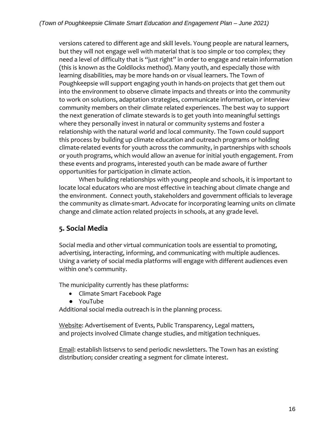versions catered to different age and skill levels. Young people are natural learners, but they will not engage well with material that is too simple or too complex; they need a level of difficulty that is "just right" in order to engage and retain information (this is known as the Goldilocks method). Many youth, and especially those with learning disabilities, may be more hands-on or visual learners. The Town of Poughkeepsie will support engaging youth in hands-on projects that get them out into the environment to observe climate impacts and threats or into the community to work on solutions, adaptation strategies, communicate information, or interview community members on their climate related experiences. The best way to support the next generation of climate stewards is to get youth into meaningful settings where they personally invest in natural or community systems and foster a relationship with the natural world and local community. The Town could support this process by building up climate education and outreach programs or holding climate-related events for youth across the community, in partnerships with schools or youth programs, which would allow an avenue for initial youth engagement. From these events and programs, interested youth can be made aware of further opportunities for participation in climate action.

When building relationships with young people and schools, it is important to locate local educators who are most effective in teaching about climate change and the environment. Connect youth, stakeholders and government officials to leverage the community as climate-smart. Advocate for incorporating learning units on climate change and climate action related projects in schools, at any grade level.

### **5. Social Media**

Social media and other virtual communication tools are essential to promoting, advertising, interacting, informing, and communicating with multiple audiences. Using a variety of social media platforms will engage with different audiences even within one's community.

The municipality currently has these platforms:

- Climate Smart Facebook Page
- YouTube

Additional social media outreach is in the planning process.

Website: Advertisement of Events, Public Transparency, Legal matters, and projects involved Climate change studies, and mitigation techniques.

**Email: establish listservs to send periodic newsletters. The Town has an existing** distribution; consider creating a segment for climate interest.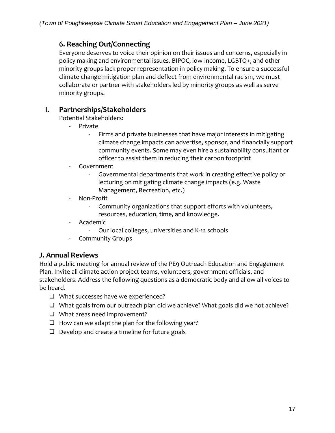# **6. Reaching Out/Connecting**

Everyone deserves to voice their opinion on their issues and concerns, especially in policy making and environmental issues. BIPOC, low-income, LGBTQ+, and other minority groups lack proper representation in policy making. To ensure a successful climate change mitigation plan and deflect from environmental racism, we must collaborate or partner with stakeholders led by minority groups as well as serve minority groups.

## **I. Partnerships/Stakeholders**

Potential Stakeholders:

- Private
	- Firms and private businesses that have major interests in mitigating climate change impacts can advertise, sponsor, and financially support community events. Some may even hire a sustainability consultant or officer to assist them in reducing their carbon footprint
- Government
	- Governmental departments that work in creating effective policy or lecturing on mitigating climate change impacts (e.g. Waste Management, Recreation, etc.)
- Non-Profit
	- Community organizations that support efforts with volunteers, resources, education, time, and knowledge.
- Academic
	- Our local colleges, universities and K-12 schools
- Community Groups

### **J. Annual Reviews**

Hold a public meeting for annual review of the PE9 Outreach Education and Engagement Plan. Invite all climate action project teams, volunteers, government officials, and stakeholders. Address the following questions as a democratic body and allow all voices to be heard.

- ❏ What successes have we experienced?
- ❏ What goals from our outreach plan did we achieve? What goals did we not achieve?
- ❏ What areas need improvement?
- ❏ How can we adapt the plan for the following year?
- ❏ Develop and create a timeline for future goals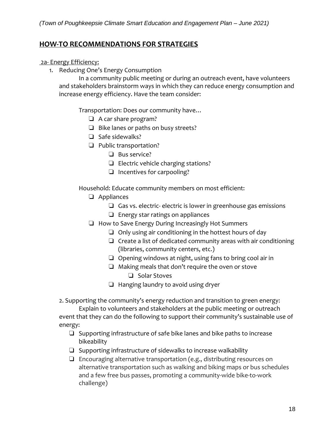### **HOW-TO RECOMMENDATIONS FOR STRATEGIES**

#### 2a- Energy Efficiency:

1. Reducing One's Energy Consumption

In a community public meeting or during an outreach event, have volunteers and stakeholders brainstorm ways in which they can reduce energy consumption and increase energy efficiency. Have the team consider:

Transportation: Does our community have…

- ❏ A car share program?
- ❏ Bike lanes or paths on busy streets?
- ❏ Safe sidewalks?
- ❏ Public transportation?
	- ❏ Bus service?
	- ❏ Electric vehicle charging stations?
	- ❏ Incentives for carpooling?

Household: Educate community members on most efficient:

- ❏ Appliances
	- ❏ Gas vs. electric- electric is lower in greenhouse gas emissions
	- ❏ Energy star ratings on appliances
- ❏ How to Save Energy During Increasingly Hot Summers
	- ❏ Only using air conditioning in the hottest hours of day
	- ❏ Create a list of dedicated community areas with air conditioning (libraries, community centers, etc.)
	- ❏ Opening windows at night, using fans to bring cool air in
	- ❏ Making meals that don't require the oven or stove
		- ❏ Solar Stoves
	- ❏ Hanging laundry to avoid using dryer

2. Supporting the community's energy reduction and transition to green energy:

Explain to volunteers and stakeholders at the public meeting or outreach event that they can do the following to support their community's sustainable use of energy:

- ❏ Supporting infrastructure of safe bike lanes and bike paths to increase bikeability
- ❏ Supporting infrastructure of sidewalks to increase walkability
- ❏ Encouraging alternative transportation (e.g., distributing resources on alternative transportation such as walking and biking maps or bus schedules and a few free bus passes, promoting a community-wide bike-to-work challenge)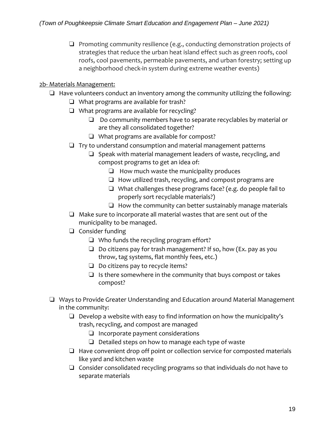❏ Promoting community resilience (e.g., conducting demonstration projects of strategies that reduce the urban heat island effect such as green roofs, cool roofs, cool pavements, permeable pavements, and urban forestry; setting up a neighborhood check-in system during extreme weather events)

#### 2b- Materials Management:

- ❏ Have volunteers conduct an inventory among the community utilizing the following:
	- ❏ What programs are available for trash?
	- ❏ What programs are available for recycling?
		- ❏ Do community members have to separate recyclables by material or are they all consolidated together?
		- ❏ What programs are available for compost?
	- ❏ Try to understand consumption and material management patterns
		- ❏ Speak with material management leaders of waste, recycling, and compost programs to get an idea of:
			- ❏ How much waste the municipality produces
			- ❏ How utilized trash, recycling, and compost programs are
			- ❏ What challenges these programs face? (e.g. do people fail to properly sort recyclable materials?)
			- $\Box$  How the community can better sustainably manage materials
	- ❏ Make sure to incorporate all material wastes that are sent out of the municipality to be managed.
	- ❏ Consider funding
		- ❏ Who funds the recycling program effort?
		- ❏ Do citizens pay for trash management? If so, how (Ex. pay as you throw, tag systems, flat monthly fees, etc.)
		- ❏ Do citizens pay to recycle items?
		- $\Box$  Is there somewhere in the community that buys compost or takes compost?
- ❏ Ways to Provide Greater Understanding and Education around Material Management in the community:
	- ❏ Develop a website with easy to find information on how the municipality's trash, recycling, and compost are managed
		- ❏ Incorporate payment considerations
		- ❏ Detailed steps on how to manage each type of waste
	- ❏ Have convenient drop off point or collection service for composted materials like yard and kitchen waste
	- ❏ Consider consolidated recycling programs so that individuals do not have to separate materials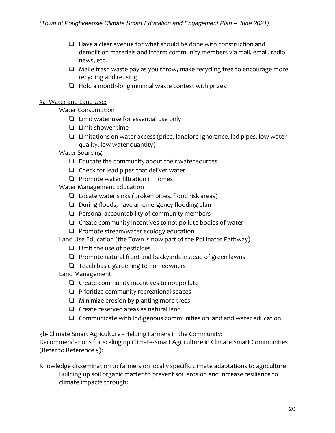- ❏ Have a clear avenue for what should be done with construction and demolition materials and inform community members via mail, email, radio, news, etc.
- ❏ Make trash waste pay as you throw, make recycling free to encourage more recycling and reusing
- ❏ Hold a month-long minimal waste contest with prizes

#### 3a- Water and Land Use:

Water Consumption

- ❏ Limit water use for essential use only
- ❏ Limit shower time
- ❏ Limitations on water access (price, landlord ignorance, led pipes, low water quality, low water quantity)
- Water Sourcing
	- ❏ Educate the community about their water sources
	- ❏ Check for lead pipes that deliver water
	- ❏ Promote water filtration in homes

Water Management Education

- ❏ Locate water sinks (broken pipes, flood risk areas)
- ❏ During floods, have an emergency flooding plan
- ❏ Personal accountability of community members
- ❏ Create community incentives to not pollute bodies of water
- ❏ Promote stream/water ecology education

Land Use Education (the Town is now part of the Pollinator Pathway)

- ❏ Limit the use of pesticides
- ❏ Promote natural front and backyards instead of green lawns
- ❏ Teach basic gardening to homeowners
- Land Management
	- ❏ Create community incentives to not pollute
	- ❏ Prioritize community recreational spaces
	- ❏ Minimize erosion by planting more trees
	- ❏ Create reserved areas as natural land
	- ❏ Communicate with Indigenous communities on land and water education

3b- Climate Smart Agriculture - Helping Farmers in the Community:

Recommendations for scaling up Climate-Smart Agriculture in Climate Smart Communities (Refer to Reference 5):

Knowledge dissemination to farmers on locally specific climate adaptations to agriculture Building up soil organic matter to prevent soil erosion and increase resilience to climate impacts through: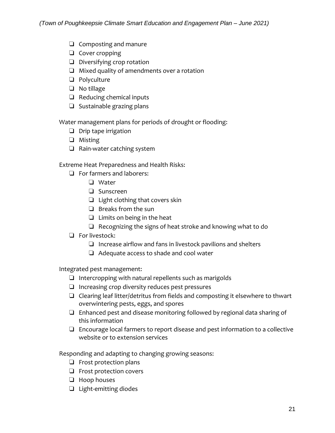- ❏ Composting and manure
- ❏ Cover cropping
- ❏ Diversifying crop rotation
- ❏ Mixed quality of amendments over a rotation
- ❏ Polyculture
- ❏ No tillage
- ❏ Reducing chemical inputs
- ❏ Sustainable grazing plans

Water management plans for periods of drought or flooding:

- ❏ Drip tape irrigation
- ❏ Misting
- ❏ Rain-water catching system

Extreme Heat Preparedness and Health Risks:

- ❏ For farmers and laborers:
	- ❏ Water
	- ❏ Sunscreen
	- ❏ Light clothing that covers skin
	- ❏ Breaks from the sun
	- ❏ Limits on being in the heat
	- ❏ Recognizing the signs of heat stroke and knowing what to do
- ❏ For livestock:
	- ❏ Increase airflow and fans in livestock pavilions and shelters
	- ❏ Adequate access to shade and cool water

Integrated pest management:

- ❏ Intercropping with natural repellents such as marigolds
- ❏ Increasing crop diversity reduces pest pressures
- ❏ Clearing leaf litter/detritus from fields and composting it elsewhere to thwart overwintering pests, eggs, and spores
- ❏ Enhanced pest and disease monitoring followed by regional data sharing of this information
- ❏ Encourage local farmers to report disease and pest information to a collective website or to extension services

Responding and adapting to changing growing seasons:

- ❏ Frost protection plans
- ❏ Frost protection covers
- ❏ Hoop houses
- ❏ Light-emitting diodes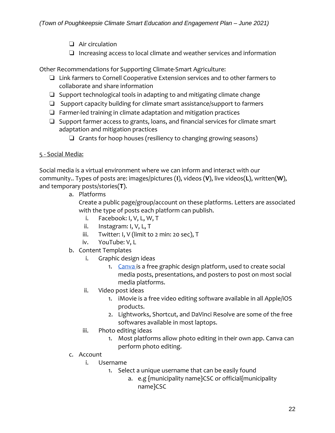- ❏ Air circulation
- ❏ Increasing access to local climate and weather services and information

Other Recommendations for Supporting Climate-Smart Agriculture:

- ❏ Link farmers to Cornell Cooperative Extension services and to other farmers to collaborate and share information
- ❏ Support technological tools in adapting to and mitigating climate change
- ❏ Support capacity building for climate smart assistance/support to farmers
- ❏ Farmer-led training in climate adaptation and mitigation practices
- ❏ Support farmer access to grants, loans, and financial services for climate smart adaptation and mitigation practices
	- ❏ Grants for hoop houses (resiliency to changing growing seasons)

#### 5 - Social Media:

Social media is a virtual environment where we can inform and interact with our community.. Types of posts are: images/pictures (**I**), videos (**V**), live videos(**L**), written(**W**), and temporary posts/stories(**T**).

a. Platforms

Create a public page/group/account on these platforms. Letters are associated with the type of posts each platform can publish.

- i. Facebook: I, V, L, W, T
- ii. Instagram: I, V, L, T
- iii. Twitter: I, V (limit to 2 min: 20 sec), T
- iv. YouTube: V, L
- b. Content Templates
	- i. Graphic design ideas
		- 1. [Canva i](https://www.canva.com/login?shouldClearGotAutoSelect)s a free graphic design platform, used to create social media posts, presentations, and posters to post on most social media platforms.
	- ii. Video post ideas
		- 1. iMovie is a free video editing software available in all Apple/iOS products.
		- 2. Lightworks, Shortcut, and DaVinci Resolve are some of the free softwares available in most laptops.
	- iii. Photo editing ideas
		- 1. Most platforms allow photo editing in their own app. Canva can perform photo editing.
- c. Account
	- i. Username
		- 1. Select a unique username that can be easily found
			- a. e.g {municipality name}CSC or official{municipality name}CSC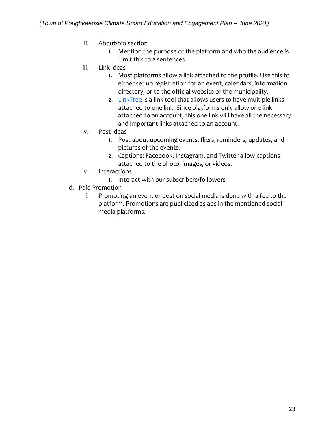- ii. About/bio section
	- 1. Mention the purpose of the platform and who the audience is. Limit this to 2 sentences.
- iii. Link ideas
	- 1. Most platforms allow a link attached to the profile. Use this to either set up registration for an event, calendars, information directory, or to the official website of the municipality.
	- 2. [LinkTree i](https://linktr.ee/)s a link tool that allows users to have multiple links attached to one link. Since platforms only allow one link attached to an account, this one link will have all the necessary and important links attached to an account.
- iv. Post ideas
	- 1. Post about upcoming events, fliers, reminders, updates, and pictures of the events.
	- 2. Captions: Facebook, Instagram, and Twitter allow captions attached to the photo, images, or videos.
- v. Interactions
	- 1. Interact with our subscribers/followers
- d. Paid Promotion
	- i. Promoting an event or post on social media is done with a fee to the platform. Promotions are publicized as ads in the mentioned social media platforms.